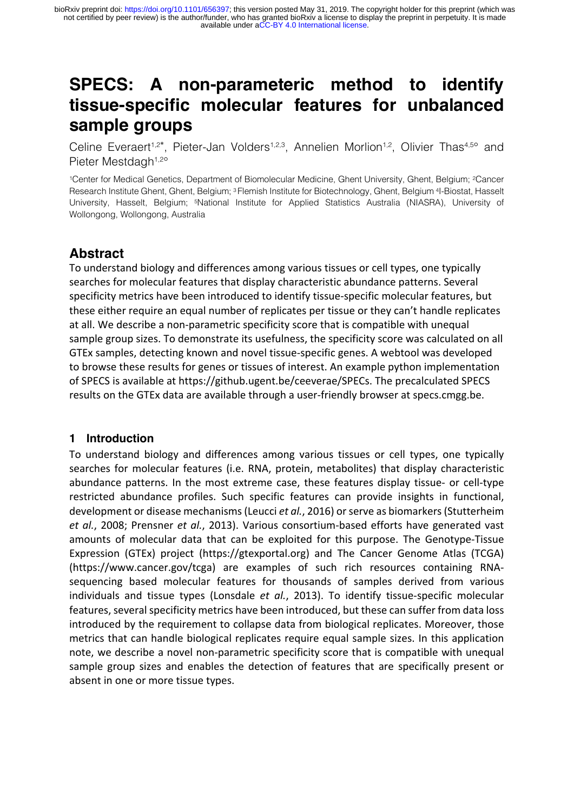# **SPECS: A non-parameteric method to identify tissue-specific molecular features for unbalanced sample groups**

Celine Everaert<sup>1,2\*</sup>, Pieter-Jan Volders<sup>1,2,3</sup>, Annelien Morlion<sup>1,2</sup>, Olivier Thas<sup>4,5</sup>° and Pieter Mestdagh<sup>1,2°</sup>

1Center for Medical Genetics, Department of Biomolecular Medicine, Ghent University, Ghent, Belgium; 2Cancer Research Institute Ghent, Ghent, Belgium; 3 Flemish Institute for Biotechnology, Ghent, Belgium 4I-Biostat, Hasselt University, Hasselt, Belgium; 5National Institute for Applied Statistics Australia (NIASRA), University of Wollongong, Wollongong, Australia

## **Abstract**

To understand biology and differences among various tissues or cell types, one typically searches for molecular features that display characteristic abundance patterns. Several specificity metrics have been introduced to identify tissue-specific molecular features, but these either require an equal number of replicates per tissue or they can't handle replicates at all. We describe a non-parametric specificity score that is compatible with unequal sample group sizes. To demonstrate its usefulness, the specificity score was calculated on all GTEx samples, detecting known and novel tissue-specific genes. A webtool was developed to browse these results for genes or tissues of interest. An example python implementation of SPECS is available at https://github.ugent.be/ceeverae/SPECs. The precalculated SPECS results on the GTEx data are available through a user-friendly browser at specs.cmgg.be.

### **1 Introduction**

To understand biology and differences among various tissues or cell types, one typically searches for molecular features (i.e. RNA, protein, metabolites) that display characteristic abundance patterns. In the most extreme case, these features display tissue- or cell-type restricted abundance profiles. Such specific features can provide insights in functional, development or disease mechanisms(Leucci *et al.*, 2016) or serve as biomarkers (Stutterheim *et al.*, 2008; Prensner *et al.*, 2013). Various consortium-based efforts have generated vast amounts of molecular data that can be exploited for this purpose. The Genotype-Tissue Expression (GTEx) project (https://gtexportal.org) and The Cancer Genome Atlas (TCGA) (https://www.cancer.gov/tcga) are examples of such rich resources containing RNAsequencing based molecular features for thousands of samples derived from various individuals and tissue types (Lonsdale *et al.*, 2013). To identify tissue-specific molecular features, several specificity metrics have been introduced, but these can suffer from data loss introduced by the requirement to collapse data from biological replicates. Moreover, those metrics that can handle biological replicates require equal sample sizes. In this application note, we describe a novel non-parametric specificity score that is compatible with unequal sample group sizes and enables the detection of features that are specifically present or absent in one or more tissue types.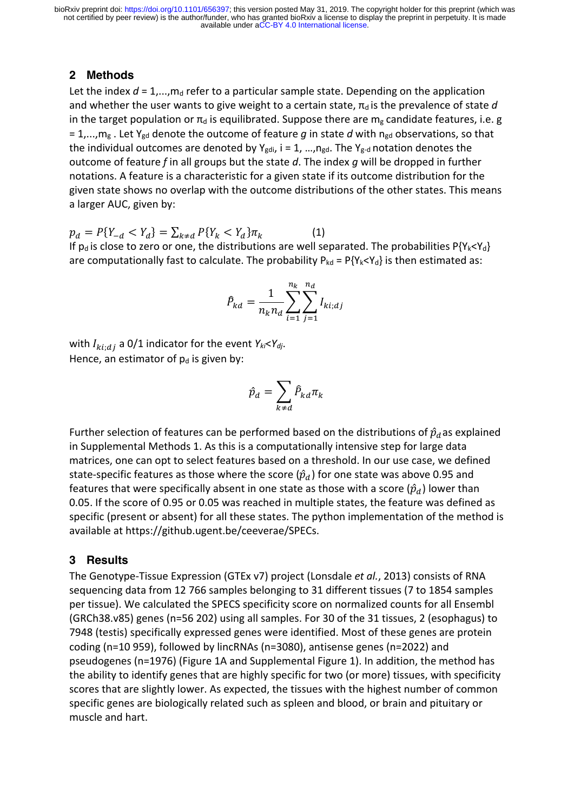available under [aCC-BY 4.0 International license.](http://creativecommons.org/licenses/by/4.0/) not certified by peer review) is the author/funder, who has granted bioRxiv a license to display the preprint in perpetuity. It is made bioRxiv preprint doi: [https://doi.org/10.1101/656397;](https://doi.org/10.1101/656397) this version posted May 31, 2019. The copyright holder for this preprint (which was

#### **2 Methods**

Let the index  $d = 1,...,m<sub>d</sub>$  refer to a particular sample state. Depending on the application and whether the user wants to give weight to a certain state,  $\pi_d$  is the prevalence of state  $d$ in the target population or  $\pi_d$  is equilibrated. Suppose there are mg candidate features, i.e. g = 1,...,mg . Let Y<sub>gd</sub> denote the outcome of feature *g* in state *d* with n<sub>gd</sub> observations, so that the individual outcomes are denoted by Y<sub>gdi</sub>,  $i = 1, ..., n_{gd}$ . The Y<sub>g-d</sub> notation denotes the outcome of feature *f* in all groups but the state *d*. The index *g* will be dropped in further notations. A feature is a characteristic for a given state if its outcome distribution for the given state shows no overlap with the outcome distributions of the other states. This means a larger AUC, given by:

 $p_d = P\{Y_{-d} < Y_d\} = \sum_{k \neq d} P\{Y_k < Y_d\} \pi_k$  (1) If  $p_d$  is close to zero or one, the distributions are well separated. The probabilities  $P(Y_k < Y_d)$ are computationally fast to calculate. The probability  $P_{kd} = P{Y_k < Y_d}$  is then estimated as:

$$
\hat{P}_{kd} = \frac{1}{n_k n_d} \sum_{i=1}^{n_k} \sum_{j=1}^{n_d} I_{ki;dj}
$$

with  $I_{ki:di}$  a 0/1 indicator for the event  $Y_{ki}$ < $Y_{di}$ . Hence, an estimator of  $p_d$  is given by:

$$
\hat{p}_d = \sum_{k \neq d} \hat{P}_{kd} \pi_k
$$

Further selection of features can be performed based on the distributions of  $\hat{p}_d$ as explained in Supplemental Methods 1. As this is a computationally intensive step for large data matrices, one can opt to select features based on a threshold. In our use case, we defined state-specific features as those where the score ( $\hat p_d$ ) for one state was above 0.95 and features that were specifically absent in one state as those with a score ( $\hat{p}_d$ ) lower than 0.05. If the score of 0.95 or 0.05 was reached in multiple states, the feature was defined as specific (present or absent) for all these states. The python implementation of the method is available at https://github.ugent.be/ceeverae/SPECs.

### **3 Results**

The Genotype-Tissue Expression (GTEx v7) project (Lonsdale *et al.*, 2013) consists of RNA sequencing data from 12 766 samples belonging to 31 different tissues (7 to 1854 samples per tissue). We calculated the SPECS specificity score on normalized counts for all Ensembl (GRCh38.v85) genes (n=56 202) using all samples. For 30 of the 31 tissues, 2 (esophagus) to 7948 (testis) specifically expressed genes were identified. Most of these genes are protein coding (n=10 959), followed by lincRNAs (n=3080), antisense genes (n=2022) and pseudogenes (n=1976) (Figure 1A and Supplemental Figure 1). In addition, the method has the ability to identify genes that are highly specific for two (or more) tissues, with specificity scores that are slightly lower. As expected, the tissues with the highest number of common specific genes are biologically related such as spleen and blood, or brain and pituitary or muscle and hart.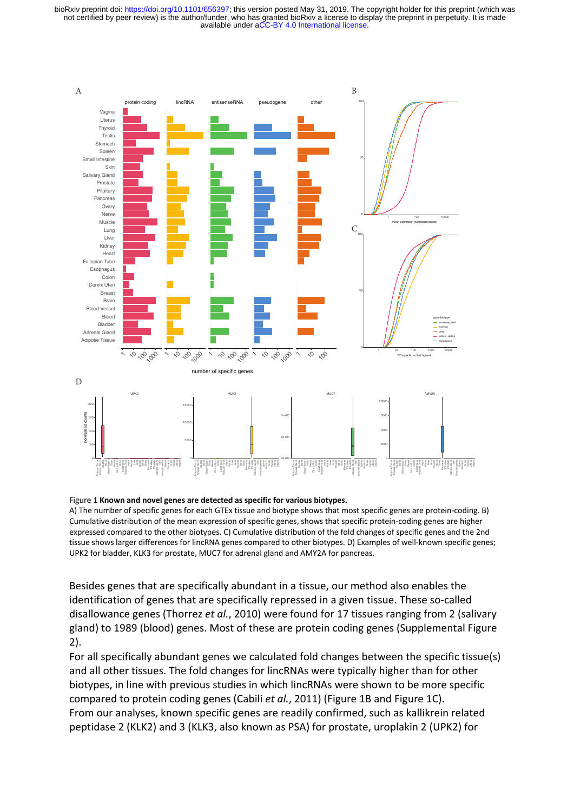available under [aCC-BY 4.0 International license.](http://creativecommons.org/licenses/by/4.0/) not certified by peer review) is the author/funder, who has granted bioRxiv a license to display the preprint in perpetuity. It is made bioRxiv preprint doi: [https://doi.org/10.1101/656397;](https://doi.org/10.1101/656397) this version posted May 31, 2019. The copyright holder for this preprint (which was



#### Figure 1 **Known and novel genes are detected as specific for various biotypes.**

A) The number of specific genes for each GTEx tissue and biotype shows that most specific genes are protein-coding. B) Cumulative distribution of the mean expression of specific genes, shows that specific protein-coding genes are higher expressed compared to the other biotypes. C) Cumulative distribution of the fold changes of specific genes and the 2nd tissue shows larger differences for lincRNA genes compared to other biotypes. D) Examples of well-known specific genes; UPK2 for bladder, KLK3 for prostate, MUC7 for adrenal gland and AMY2A for pancreas.

Besides genes that are specifically abundant in a tissue, our method also enables the identification of genes that are specifically repressed in a given tissue. These so-called disallowance genes (Thorrez *et al.*, 2010) were found for 17 tissues ranging from 2 (salivary gland) to 1989 (blood) genes. Most of these are protein coding genes (Supplemental Figure 2).

For all specifically abundant genes we calculated fold changes between the specific tissue(s) and all other tissues. The fold changes for lincRNAs were typically higher than for other biotypes, in line with previous studies in which lincRNAs were shown to be more specific compared to protein coding genes (Cabili *et al.*, 2011) (Figure 1B and Figure 1C). From our analyses, known specific genes are readily confirmed, such as kallikrein related peptidase 2 (KLK2) and 3 (KLK3, also known as PSA) for prostate, uroplakin 2 (UPK2) for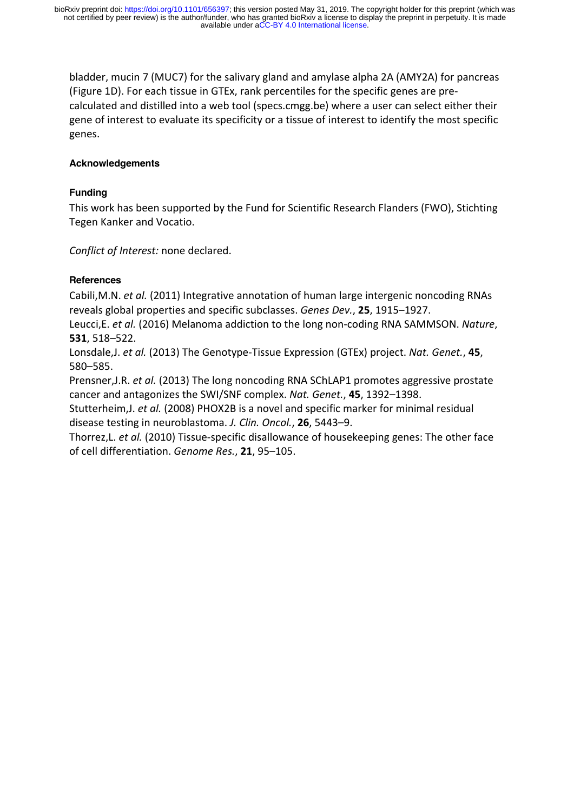available under [aCC-BY 4.0 International license.](http://creativecommons.org/licenses/by/4.0/) not certified by peer review) is the author/funder, who has granted bioRxiv a license to display the preprint in perpetuity. It is made bioRxiv preprint doi: [https://doi.org/10.1101/656397;](https://doi.org/10.1101/656397) this version posted May 31, 2019. The copyright holder for this preprint (which was

bladder, mucin 7 (MUC7) for the salivary gland and amylase alpha 2A (AMY2A) for pancreas (Figure 1D). For each tissue in GTEx, rank percentiles for the specific genes are precalculated and distilled into a web tool (specs.cmgg.be) where a user can select either their gene of interest to evaluate its specificity or a tissue of interest to identify the most specific genes.

#### **Acknowledgements**

#### **Funding**

This work has been supported by the Fund for Scientific Research Flanders (FWO), Stichting Tegen Kanker and Vocatio.

*Conflict of Interest:* none declared.

#### **References**

Cabili,M.N. *et al.* (2011) Integrative annotation of human large intergenic noncoding RNAs reveals global properties and specific subclasses. *Genes Dev.*, **25**, 1915–1927.

Leucci,E. *et al.* (2016) Melanoma addiction to the long non-coding RNA SAMMSON. *Nature*, **531**, 518–522.

Lonsdale,J. *et al.* (2013) The Genotype-Tissue Expression (GTEx) project. *Nat. Genet.*, **45**, 580–585.

Prensner,J.R. *et al.* (2013) The long noncoding RNA SChLAP1 promotes aggressive prostate cancer and antagonizes the SWI/SNF complex. *Nat. Genet.*, **45**, 1392–1398.

Stutterheim,J. *et al.* (2008) PHOX2B is a novel and specific marker for minimal residual disease testing in neuroblastoma. *J. Clin. Oncol.*, **26**, 5443–9.

Thorrez,L. *et al.* (2010) Tissue-specific disallowance of housekeeping genes: The other face of cell differentiation. *Genome Res.*, **21**, 95–105.